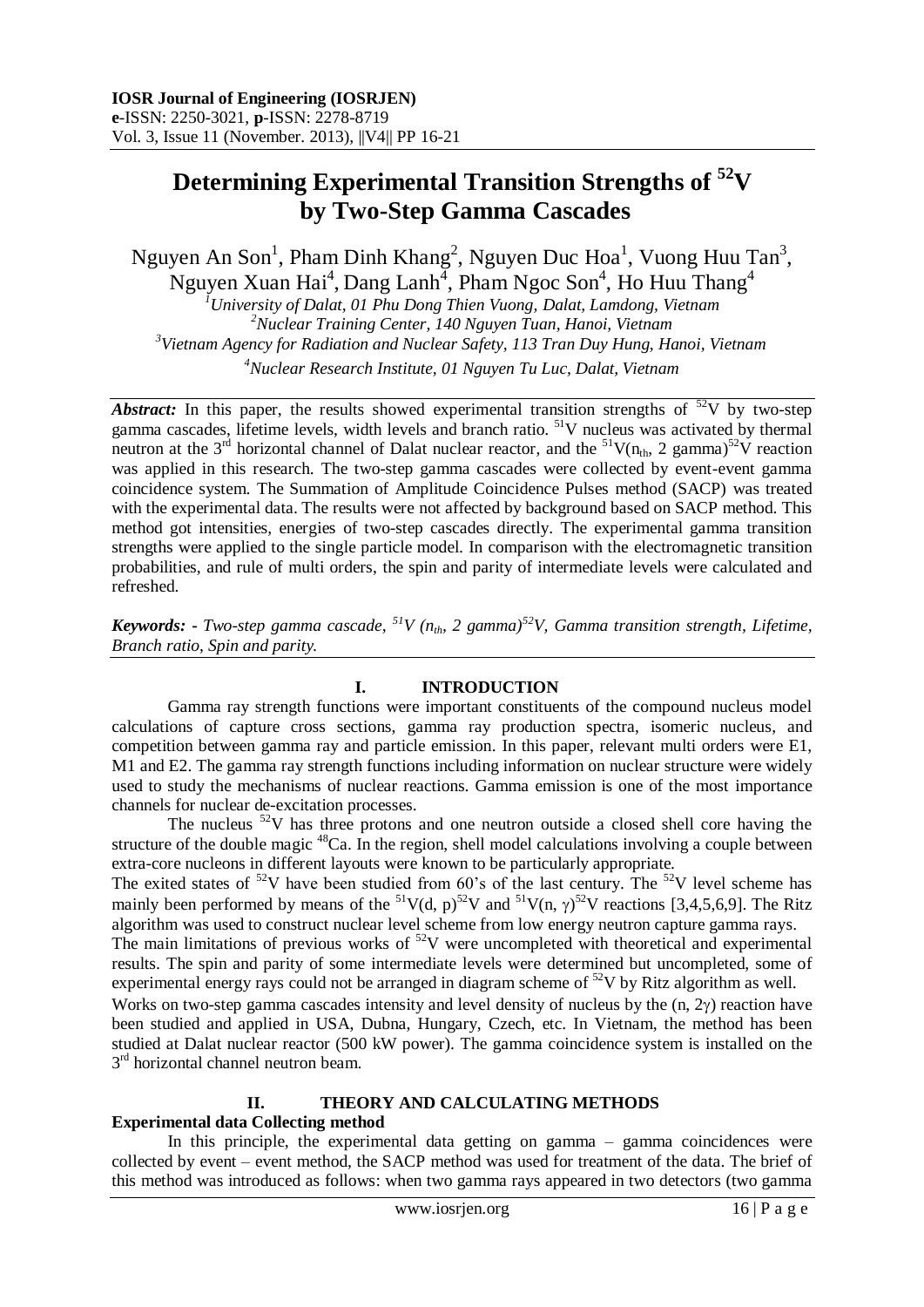# **Determining Experimental Transition Strengths of <sup>52</sup>V by Two-Step Gamma Cascades**

Nguyen An Son<sup>1</sup>, Pham Dinh Khang<sup>2</sup>, Nguyen Duc Hoa<sup>1</sup>, Vuong Huu Tan<sup>3</sup>, Nguyen Xuan Hai<sup>4</sup>, Dang Lanh<sup>4</sup>, Pham Ngoc Son<sup>4</sup>, Ho Huu Thang<sup>4</sup>

*University of Dalat, 01 Phu Dong Thien Vuong, Dalat, Lamdong, Vietnam Nuclear Training Center, 140 Nguyen Tuan, Hanoi, Vietnam Vietnam Agency for Radiation and Nuclear Safety, 113 Tran Duy Hung, Hanoi, Vietnam Nuclear Research Institute, 01 Nguyen Tu Luc, Dalat, Vietnam* 

*Abstract:* In this paper, the results showed experimental transition strengths of  $52V$  by two-step gamma cascades, lifetime levels, width levels and branch ratio. <sup>51</sup>V nucleus was activated by thermal neutron at the 3<sup>rd</sup> horizontal channel of Dalat nuclear reactor, and the <sup>51</sup>V(n<sub>th</sub>, 2 gamma)<sup>52</sup>V reaction was applied in this research. The two-step gamma cascades were collected by event-event gamma coincidence system. The Summation of Amplitude Coincidence Pulses method (SACP) was treated with the experimental data. The results were not affected by background based on SACP method. This method got intensities, energies of two-step cascades directly. The experimental gamma transition strengths were applied to the single particle model. In comparison with the electromagnetic transition probabilities, and rule of multi orders, the spin and parity of intermediate levels were calculated and refreshed.

*Keywords:* **-** *Two-step gamma cascade, <sup>51</sup>V (nth, 2 gamma)<sup>52</sup>V, Gamma transition strength, Lifetime, Branch ratio, Spin and parity.*

# **I. INTRODUCTION**

Gamma ray strength functions were important constituents of the compound nucleus model calculations of capture cross sections, gamma ray production spectra, isomeric nucleus, and competition between gamma ray and particle emission. In this paper, relevant multi orders were E1, M1 and E2. The gamma ray strength functions including information on nuclear structure were widely used to study the mechanisms of nuclear reactions. Gamma emission is one of the most importance channels for nuclear de-excitation processes.

The nucleus  $52V$  has three protons and one neutron outside a closed shell core having the structure of the double magic  ${}^{48}Ca$ . In the region, shell model calculations involving a couple between extra-core nucleons in different layouts were known to be particularly appropriate.

The exited states of  $52V$  have been studied from 60's of the last century. The  $52V$  level scheme has mainly been performed by means of the <sup>51</sup>V(d, p)<sup>52</sup>V and <sup>51</sup>V(n,  $\gamma$ )<sup>52</sup>V reactions [3,4,5,6,9]. The Ritz algorithm was used to construct nuclear level scheme from low energy neutron capture gamma rays.

The main limitations of previous works of  $52V$  were uncompleted with theoretical and experimental results. The spin and parity of some intermediate levels were determined but uncompleted, some of experimental energy rays could not be arranged in diagram scheme of  $52V$  by Ritz algorithm as well.

Works on two-step gamma cascades intensity and level density of nucleus by the  $(n, 2y)$  reaction have been studied and applied in USA, Dubna, Hungary, Czech, etc. In Vietnam, the method has been studied at Dalat nuclear reactor (500 kW power). The gamma coincidence system is installed on the 3<sup>rd</sup> horizontal channel neutron beam.

## **II. THEORY AND CALCULATING METHODS**

# **Experimental data Collecting method**

In this principle, the experimental data getting on gamma – gamma coincidences were collected by event – event method, the SACP method was used for treatment of the data. The brief of this method was introduced as follows: when two gamma rays appeared in two detectors (two gamma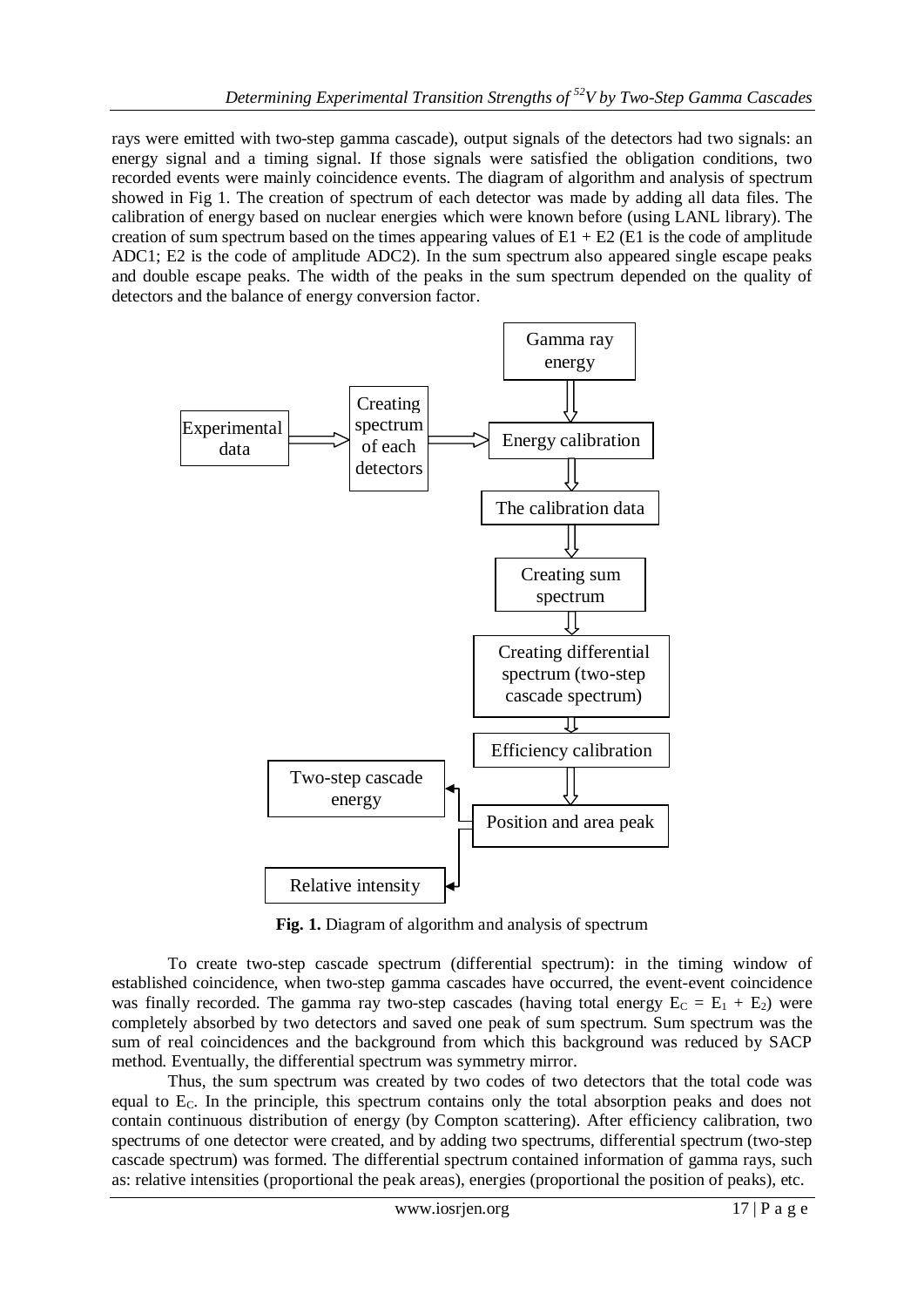rays were emitted with two-step gamma cascade), output signals of the detectors had two signals: an energy signal and a timing signal. If those signals were satisfied the obligation conditions, two recorded events were mainly coincidence events. The diagram of algorithm and analysis of spectrum showed in Fig 1. The creation of spectrum of each detector was made by adding all data files. The calibration of energy based on nuclear energies which were known before (using LANL library). The creation of sum spectrum based on the times appearing values of  $E1 + E2$  (E1 is the code of amplitude ADC1; E2 is the code of amplitude ADC2). In the sum spectrum also appeared single escape peaks and double escape peaks. The width of the peaks in the sum spectrum depended on the quality of detectors and the balance of energy conversion factor.



Fig. 1. Diagram of algorithm and analysis of spectrum

To create two-step cascade spectrum (differential spectrum): in the timing window of established coincidence, when two-step gamma cascades have occurred, the event-event coincidence was finally recorded. The gamma ray two-step cascades (having total energy  $E_C = E_1 + E_2$ ) were completely absorbed by two detectors and saved one peak of sum spectrum. Sum spectrum was the sum of real coincidences and the background from which this background was reduced by SACP method. Eventually, the differential spectrum was symmetry mirror.

Thus, the sum spectrum was created by two codes of two detectors that the total code was equal to  $E<sub>C</sub>$ . In the principle, this spectrum contains only the total absorption peaks and does not contain continuous distribution of energy (by Compton scattering). After efficiency calibration, two spectrums of one detector were created, and by adding two spectrums, differential spectrum (two-step cascade spectrum) was formed. The differential spectrum contained information of gamma rays, such as: relative intensities (proportional the peak areas), energies (proportional the position of peaks), etc.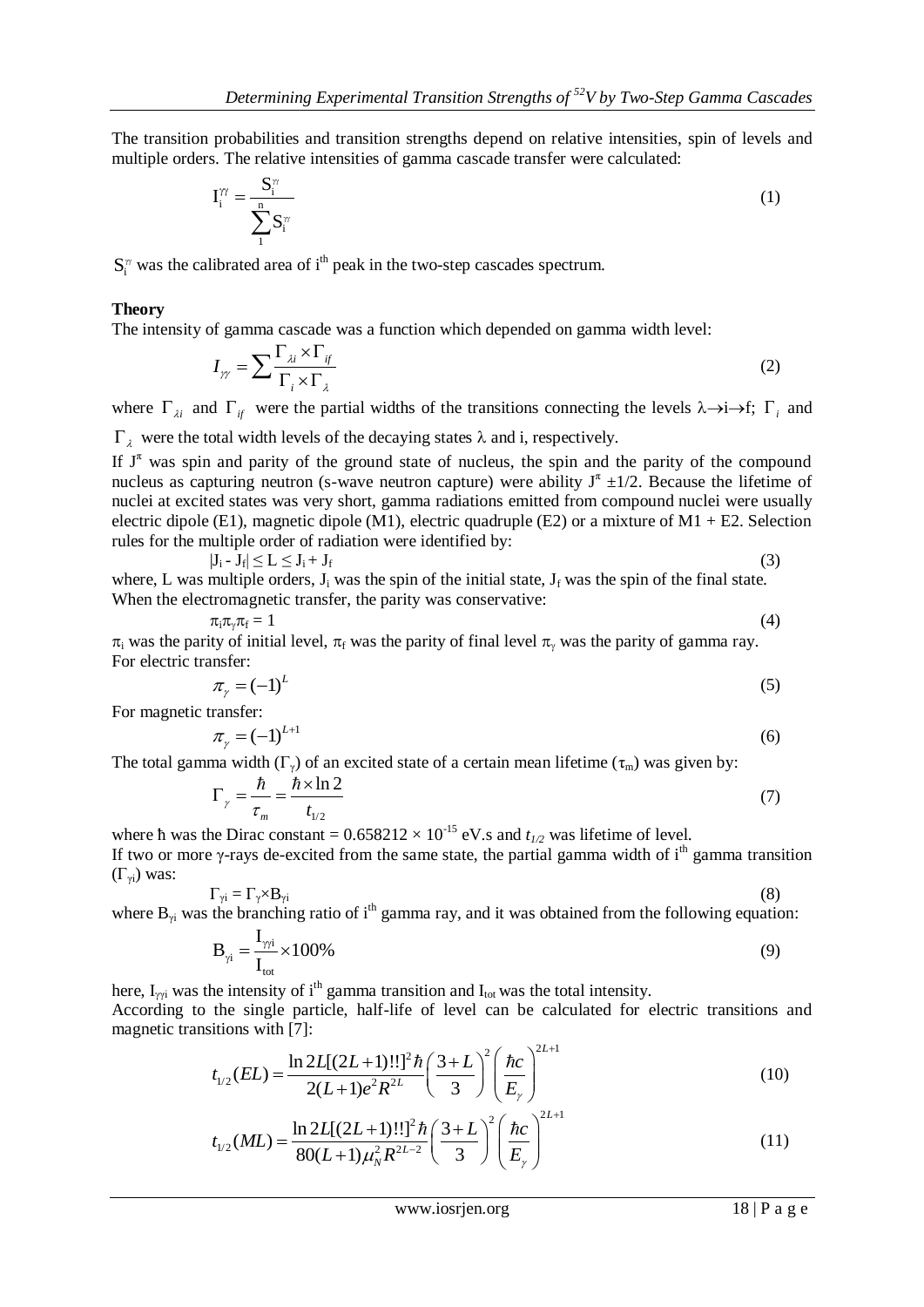The transition probabilities and transition strengths depend on relative intensities, spin of levels and multiple orders. The relative intensities of gamma cascade transfer were calculated:

$$
\mathbf{I}_{i}^{\gamma\gamma} = \frac{\mathbf{S}_{i}^{\gamma\gamma}}{\sum_{i=1}^{n} \mathbf{S}_{i}^{\gamma\gamma}}
$$
 (1)

 $S_i^{\pi}$  was the calibrated area of i<sup>th</sup> peak in the two-step cascades spectrum.

#### **Theory**

The intensity of gamma cascade was a function which depended on gamma width level:

$$
I_{\gamma\gamma} = \sum \frac{\Gamma_{\lambda i} \times \Gamma_{if}}{\Gamma_i \times \Gamma_{\lambda}}
$$
 (2)

where  $\Gamma_{\lambda i}$  and  $\Gamma_{if}$  were the partial widths of the transitions connecting the levels  $\lambda \rightarrow i \rightarrow f$ ;  $\Gamma_{i}$  and

 $\Gamma_{\lambda}$  were the total width levels of the decaying states  $\lambda$  and i, respectively.

If  $J^{\pi}$  was spin and parity of the ground state of nucleus, the spin and the parity of the compound nucleus as capturing neutron (s-wave neutron capture) were ability  $J^{\pi} \pm 1/2$ . Because the lifetime of nuclei at excited states was very short, gamma radiations emitted from compound nuclei were usually electric dipole (E1), magnetic dipole (M1), electric quadruple (E2) or a mixture of M1 + E2. Selection rules for the multiple order of radiation were identified by:

$$
|J_i - J_f| \le L \le J_i + J_f \tag{3}
$$

where, L was multiple orders,  $J_i$  was the spin of the initial state,  $J_f$  was the spin of the final state. When the electromagnetic transfer, the parity was conservative:

$$
\pi_i \pi_\gamma \pi_f = 1 \tag{4}
$$

 $\pi_i$  was the parity of initial level,  $\pi_f$  was the parity of final level  $\pi_v$  was the parity of gamma ray. For electric transfer:

$$
\pi_{\gamma} = (-1)^{L} \tag{5}
$$

For magnetic transfer:

$$
\pi_{\gamma} = (-1)^{L+1} \tag{6}
$$

The total gamma width  $(\Gamma_{\gamma})$  of an excited state of a certain mean lifetime  $(\tau_{\rm m})$  was given by:

$$
\Gamma_{\gamma} = \frac{\hbar}{\tau_m} = \frac{\hbar \times \ln 2}{t_{1/2}} \tag{7}
$$

where h was the Dirac constant =  $0.658212 \times 10^{-15}$  eV.s and  $t_{1/2}$  was lifetime of level. If two or more  $\gamma$ -rays de-excited from the same state, the partial gamma width of i<sup>th</sup> gamma transition  $(\Gamma_{\nu i})$  was:

$$
\Gamma_{\gamma i} = \Gamma_{\gamma} \times B_{\gamma i} \tag{8}
$$

where  $B_{\gamma i}$  was the branching ratio of i<sup>th</sup> gamma ray, and it was obtained from the following equation:

$$
\mathbf{B}_{\gamma i} = \frac{\mathbf{I}_{\gamma \gamma i}}{\mathbf{I}_{\text{tot}}} \times 100\%
$$
\n(9)

here,  $I_{\gamma i}$  was the intensity of i<sup>th</sup> gamma transition and  $I_{\text{tot}}$  was the total intensity.

According to the single particle, half-life of level can be calculated for electric transitions and magnetic transitions with [7]:

$$
t_{1/2}(EL) = \frac{\ln 2L[(2L+1)!!]^2 \hbar}{2(L+1)e^2 R^{2L}} \left(\frac{3+L}{3}\right)^2 \left(\frac{\hbar c}{E_y}\right)^{2L+1}
$$
\n
$$
t_{1/2}(EL) = \frac{\ln 2L[(2L+1)!!]^2 \hbar}{2(L+1)e^2 R^{2L}} \left(\frac{3+L}{2}\right)^2 \left(\frac{\hbar c}{E_y}\right)^{2L+1}
$$
\n(10)

$$
2(L+1)e^{2}R^{2L} \t (3) \t (E\gamma)
$$
  

$$
t_{1/2}(ML) = \frac{\ln 2L[(2L+1)!!]^{2}\hbar (3+L)}{80(L+1)\mu_{N}^{2}R^{2L-2}} \left(\frac{3+L}{3}\right)^{2} \left(\frac{\hbar c}{E_{\gamma}}\right)^{2L+1}
$$
 (11)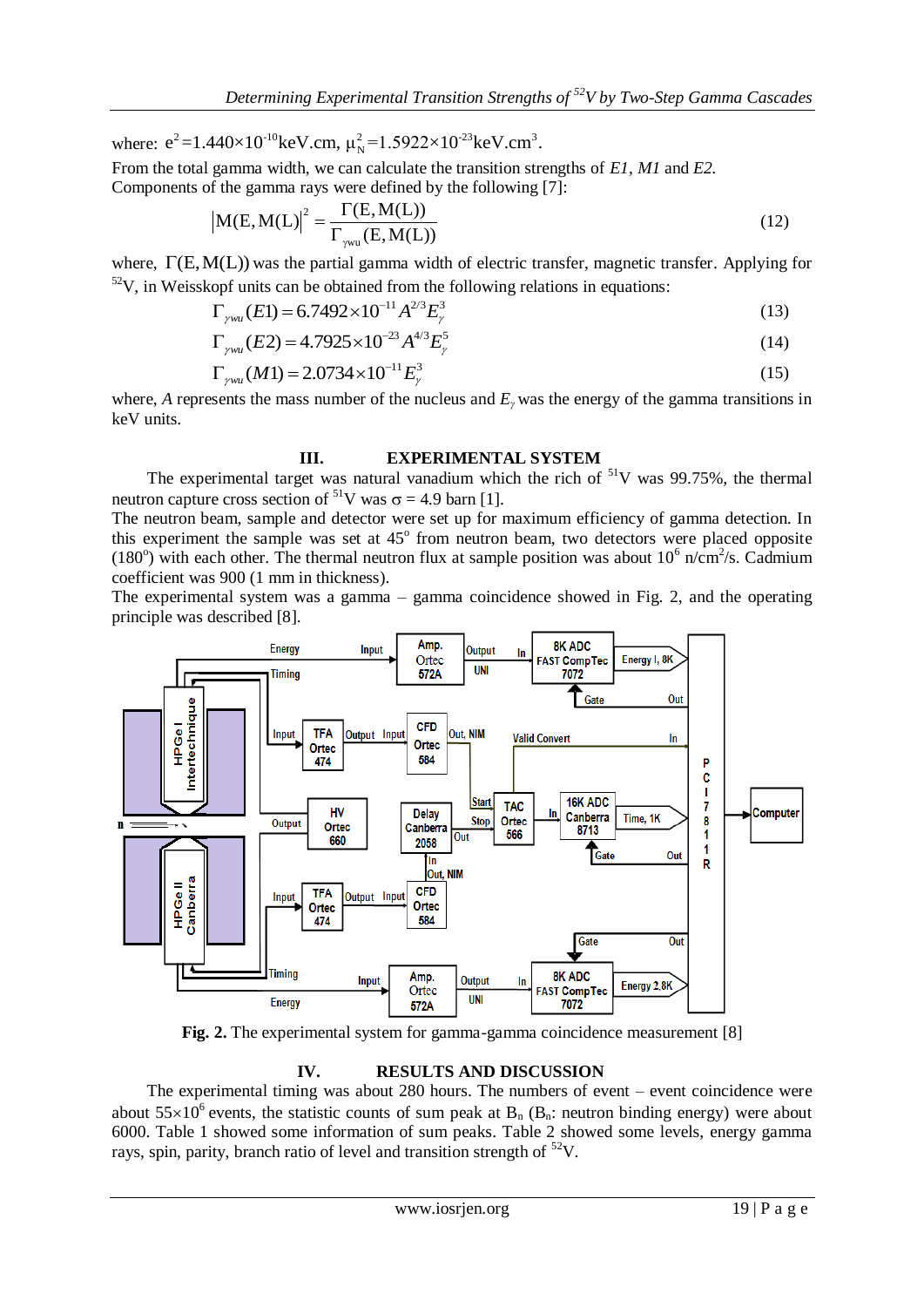*Determining Experimental Transition Strength.*<br>
where:  $e^2 = 1.440 \times 10^{-10}$  keV.cm,  $\mu_N^2 = 1.5922 \times 10^{-23}$  keV.cm<sup>3</sup>.

From the total gamma width, we can calculate the transition strengths of *E1*, *M1* and *E2.*

Components of the gamma rays were defined by the following [7]:

\n
$$
\left| M(E, M(L)) \right|^2 = \frac{\Gamma(E, M(L))}{\Gamma_{\text{sym}}(E, M(L))}
$$
\n(12)

where,  $\Gamma(E, M(L))$  was the partial gamma width of electric transfer, magnetic transfer. Applying for  $52V$ , in Weisskopf units can be obtained from the following relations in equations:

opt units can be obtained from the following relations in equations:  
\n
$$
\Gamma_{\text{ywu}}(E1) = 6.7492 \times 10^{-11} A^{2/3} E_{\text{y}}^3
$$
\n(13)

$$
\Gamma_{\gamma w u}(E1) = 0.7492 \times 10^{-4} \, \text{A}^{-1} \, \text{E}_{\gamma} \tag{13}
$$
\n
$$
\Gamma_{\gamma w u}(E2) = 4.7925 \times 10^{-23} \, \text{A}^{4/3} \, \text{E}_{\gamma}^5 \tag{14}
$$

$$
\Gamma_{\gamma w u} (M1) = 2.0734 \times 10^{-11} E_{\gamma}^3 \tag{15}
$$

where, *A* represents the mass number of the nucleus and *Eγ* was the energy of the gamma transitions in keV units.

## **III. EXPERIMENTAL SYSTEM**

The experimental target was natural vanadium which the rich of  $51V$  was 99.75%, the thermal neutron capture cross section of <sup>51</sup>V was  $\sigma$  = 4.9 barn [1].

The neutron beam, sample and detector were set up for maximum efficiency of gamma detection. In this experiment the sample was set at 45° from neutron beam, two detectors were placed opposite (180°) with each other. The thermal neutron flux at sample position was about  $10^6$  n/cm<sup>2</sup>/s. Cadmium coefficient was 900 (1 mm in thickness).

The experimental system was a gamma – gamma coincidence showed in Fig. 2, and the operating principle was described [8].



**Fig. 2.** The experimental system for gamma-gamma coincidence measurement [8]

## **IV. RESULTS AND DISCUSSION**

The experimental timing was about 280 hours. The numbers of event – event coincidence were about  $55\times10^6$  events, the statistic counts of sum peak at B<sub>n</sub> (B<sub>n</sub>: neutron binding energy) were about 6000. Table 1 showed some information of sum peaks. Table 2 showed some levels, energy gamma rays, spin, parity, branch ratio of level and transition strength of  $52V$ .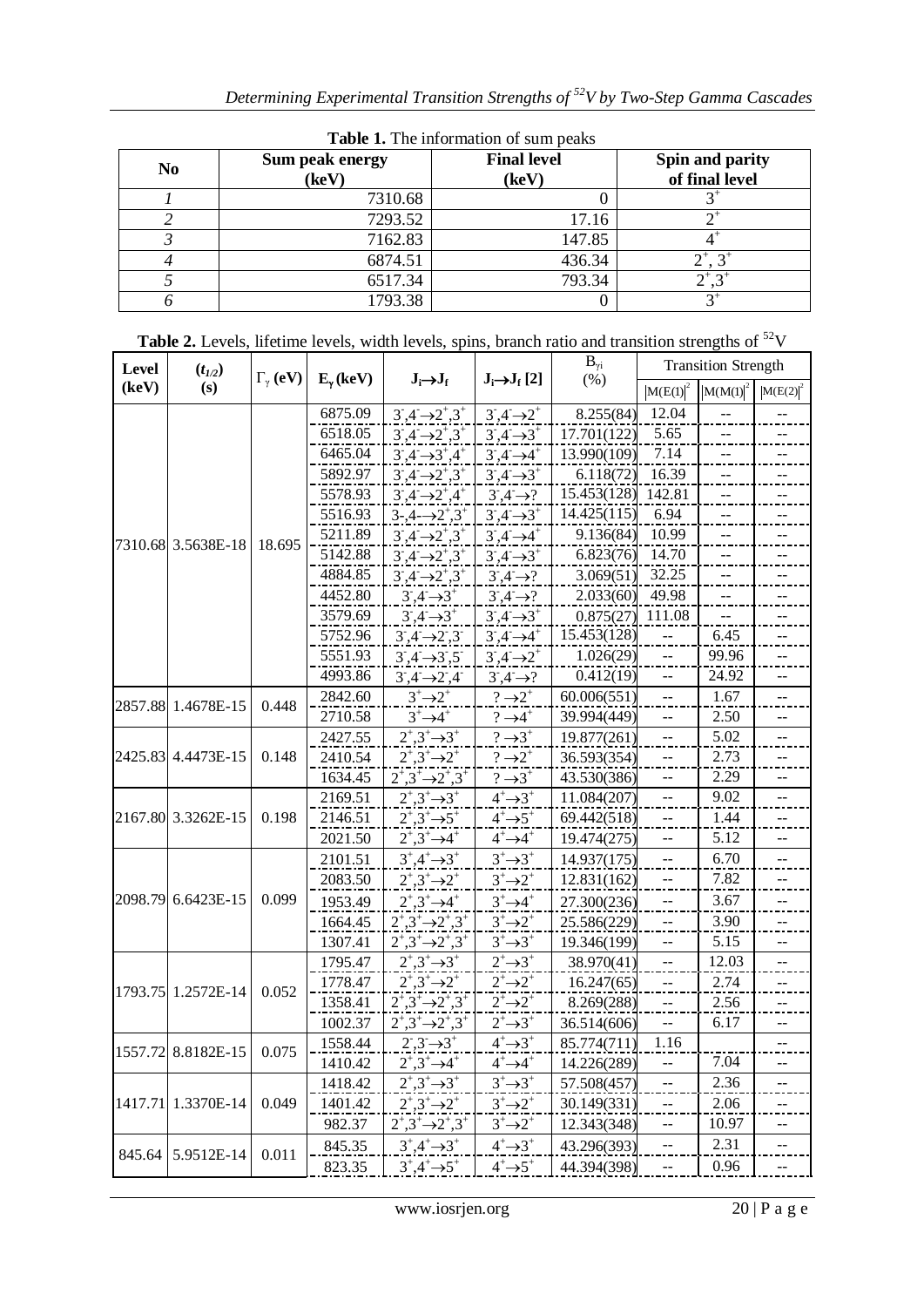| <b>Table 1.</b> The imbiliation of sum peaks |                 |                    |                       |  |  |  |  |  |  |  |
|----------------------------------------------|-----------------|--------------------|-----------------------|--|--|--|--|--|--|--|
| N <sub>0</sub>                               | Sum peak energy | <b>Final level</b> | Spin and parity       |  |  |  |  |  |  |  |
|                                              | (keV)           | (keV)              | of final level        |  |  |  |  |  |  |  |
|                                              | 7310.68         |                    |                       |  |  |  |  |  |  |  |
|                                              | 7293.52         | 17.16              |                       |  |  |  |  |  |  |  |
|                                              | 7162.83         | 147.85             |                       |  |  |  |  |  |  |  |
|                                              | 6874.51         | 436.34             | $2^{+}$               |  |  |  |  |  |  |  |
|                                              | 6517.34         | 793.34             | $\uparrow$ $\uparrow$ |  |  |  |  |  |  |  |
|                                              | 1793.38         |                    |                       |  |  |  |  |  |  |  |

**Table 1.** The information of sum peaks

| (key)<br>(s)<br>$ M(E(1) ^2)$<br>$ M(E(2) ^2$<br>$ M(M(1) ^2)$<br>6875.09<br>12.04<br>$3^{\circ}$ , $4^{\circ}$ $\rightarrow$ $2^{\circ}$ , $3^{\circ}$<br>$3,4 \rightarrow 2^+$<br>8.255(84)<br>6518.05<br>5.65<br>$3,4 \rightarrow 2,3^{+}$<br>$3,4 \rightarrow 3^+$<br>17.701(122)<br>6465.04<br>$3,4 \rightarrow 3^{+},4^{+}$<br>7.14<br>$3,4 \rightarrow 4^+$<br>13.990(109)<br>5892.97<br>16.39<br>$3^{\circ}, 4^{\circ} \rightarrow 2^{\circ}, 3^{\circ}$<br>$3,4^{-}$ $\rightarrow$ 3 <sup>+</sup><br>6.118(72)<br>$3,4 \rightarrow ?$<br>15.453(128)<br>142.81<br>5578.93<br>$3,4 \rightarrow 2,4^+$<br>14.425(115)<br>6.94<br>5516.93<br>$3 - 0.4 - 0.2^{\circ}$ , $3^{\circ}$<br>$3,4 \rightarrow 3^+$<br>$3,4 \rightarrow 4^+$<br>9.136(84)<br>10.99<br>5211.89<br>$3,4 \rightarrow 2,3^{+}$<br>--<br>7310.68 3.5638E-18<br>18.695<br>$3,4 \rightarrow 3^+$<br>5142.88<br>$3^{\circ}, 4^{\circ} \rightarrow 2^{\circ}, 3^{\circ}$<br>6.823(76)<br>14.70<br>32.25<br>4884.85<br>$3^{\circ}, 4^{\circ} \rightarrow 2^{\circ}, 3^{\circ}$<br>$3,4 \rightarrow ?$<br>3.069(51)<br>49.98<br>4452.80<br>2.033(60)<br>$3,4 \rightarrow 3^+$<br>$3,4 \rightarrow ?$<br>3579.69<br>$3,4 \rightarrow 3^+$<br>$3,4 \rightarrow 3^+$<br>0.875(27)<br>111.08<br>15.453(128)<br>5752.96<br>$3,4 \rightarrow 4^+$<br>$3,4 \rightarrow 2,3$<br>6.45<br>1.026(29)<br>5551.93<br>$3,4 \rightarrow 2^+$<br>99.96<br>$3,4 \rightarrow 3,5$<br>--<br>4993.86<br>0.412(19)<br>$3,4 \rightarrow ?$<br>24.92<br>$3,4 \rightarrow 2,4$<br>--<br>$3^+$ $\rightarrow$ $2^+$<br>$? \rightarrow 2^+$<br>60.006(551)<br>1.67<br>2842.60<br>$-$<br>2857.88 1.4678E-15<br>0.448<br>$3^+$ $\rightarrow$ $4^+$<br>$? \rightarrow 4^+$<br>2710.58<br>39.994(449)<br>2.50<br>$\overline{a}$<br>$2^{\scriptscriptstyle +},3^{\scriptscriptstyle +}\rightarrow 3^{\scriptscriptstyle +}$<br>$? \rightarrow 3^+$<br>5.02<br>2427.55<br>19.877(261)<br>2425.83 4.4473E-15<br>0.148<br>$2^{\ddagger},3^{\ddagger} \rightarrow 2^{\ddagger}$<br>$? \rightarrow 2^+$<br>2410.54<br>36.593(354)<br>2.73<br>$2^{\ddagger},3^{\ddagger} \rightarrow 2^{\ddagger},3^{\ddagger}$<br>2.29<br>1634.45<br>$? \rightarrow 3^+$<br>43.530(386)<br>--<br>$2^{\ddagger}$ , $3^{\ddagger}$ $\rightarrow$ $3^{\ddagger}$<br>$4^+$ $\rightarrow$ 3 <sup>+</sup><br>9.02<br>2169.51<br>11.084(207)<br>--<br>$2^{\ddagger}$ , $3^{\ddagger}$ $\rightarrow$ 5 <sup>+</sup><br>$4+3+5$<br>2167.80 3.3262E-15<br>0.198<br>2146.51<br>69.442(518)<br>1.44<br>$\overline{\phantom{a}}$<br>2021.50<br>$2^{\dagger},3^{\dagger} \rightarrow 4^{\dagger}$<br>$4^+$ $\rightarrow$ $4^+$<br>5.12<br>19.474(275)<br>$3^+$ $\rightarrow$ $3^+$<br>$3^{\circ},4^{\circ} \rightarrow 3^{\circ}$<br>6.70<br>14.937(175)<br>2101.51<br>$2^{\circ},3^{\circ}\rightarrow2^{\circ}$<br>$3^+$ $\rightarrow$ $2^+$<br>2083.50<br>12.831(162)<br>7.82<br>2098.79<br>6.6423E-15<br>0.099<br>$2^{\circ}$ , $3^{\circ}$ $\rightarrow$ $4^{\circ}$<br>$3^+ \rightarrow 4^+$<br>3.67<br>1953.49<br>27.300(236)<br>$2^+,3^+\rightarrow 2^+,3^+$<br>$3^+$ $\rightarrow$ $2^+$<br>3.90<br>25.586(229)<br>1664.45<br>--<br>$2^{\ddagger},3^{\ddagger} \rightarrow 2^{\ddagger},3^{\ddagger}$<br>1307.41<br>$3^+$ $\rightarrow$ $3^+$<br>19.346(199)<br>5.15<br>--<br>$2^{\circ},3^{\circ}\rightarrow3^{\circ}$<br>$2^+$ $\rightarrow$ 3 <sup>+</sup><br>1795.47<br>12.03<br>38.970(41)<br>--<br>1778.47<br>$2^{\circ},3^{\circ}\rightarrow2^{\circ}$<br>$2^+$ $\rightarrow$ $2^+$<br>2.74<br>16.247(65)<br>1793.75 1.2572E-14<br>0.052<br>$2^+,3^+\rightarrow 2^+,3^+$<br>$2^+$ $\rightarrow$ $2^+$<br>1358.41<br>8.269(288)<br>2.56<br>$\overline{a}$<br>6.17<br>$2^{\ddagger},3^{\ddagger} \rightarrow 2^{\ddagger},3^{\ddagger}$<br>$2^+$ $\rightarrow$ 3 <sup>+</sup><br>1002.37<br>36.514(606)<br>--<br>$4^+$ $\rightarrow$ 3 <sup>+</sup><br>1.16<br>$2,3 \rightarrow 3^+$<br>1558.44<br>85.774(711)<br>1557.72 8.8182E-15 0.075<br>7.04<br>1410.42<br>$2^{\circ},3^{\circ}\rightarrow4^{\circ}$<br>14.226(289)<br>$4^+ \rightarrow 4^+$<br>$2^{\circ},3^{\circ}\rightarrow3^{\circ}$<br>$3^+$ $\rightarrow$ $3^+$<br>2.36<br>1418.42<br>57.508(457)<br>$- \, -$<br>1.3370E-14<br>0.049<br>$2^{\circ},3^{\circ}\rightarrow2^{\circ}$<br>1417.71<br>1401.42<br>$3^+$ $\rightarrow$ $2^+$<br>30.149(331)<br>2.06<br>--<br>$2^+,3^+\rightarrow 2^+,3^+$<br>982.37<br>$3^+$ $\rightarrow$ $2^+$<br>12.343(348)<br>10.97<br>2.31<br>$3^{\circ},4^{\circ} \rightarrow 3^{\circ}$<br>$4^+$ $\rightarrow$ 3 <sup>+</sup><br>43.296(393)<br>845.35<br>--<br>5.9512E-14<br>845.64<br>0.011<br>-- | Level | $(t_{1/2})$ | $\Gamma_{\gamma}$ (eV) | $E_{\gamma}$ (keV)<br>$J_i \rightarrow J_f$ |                                             | $B_{\gamma i}$                     | <b>Transition Strength</b> |     |      |  |
|---------------------------------------------------------------------------------------------------------------------------------------------------------------------------------------------------------------------------------------------------------------------------------------------------------------------------------------------------------------------------------------------------------------------------------------------------------------------------------------------------------------------------------------------------------------------------------------------------------------------------------------------------------------------------------------------------------------------------------------------------------------------------------------------------------------------------------------------------------------------------------------------------------------------------------------------------------------------------------------------------------------------------------------------------------------------------------------------------------------------------------------------------------------------------------------------------------------------------------------------------------------------------------------------------------------------------------------------------------------------------------------------------------------------------------------------------------------------------------------------------------------------------------------------------------------------------------------------------------------------------------------------------------------------------------------------------------------------------------------------------------------------------------------------------------------------------------------------------------------------------------------------------------------------------------------------------------------------------------------------------------------------------------------------------------------------------------------------------------------------------------------------------------------------------------------------------------------------------------------------------------------------------------------------------------------------------------------------------------------------------------------------------------------------------------------------------------------------------------------------------------------------------------------------------------------------------------------------------------------------------------------------------------------------------------------------------------------------------------------------------------------------------------------------------------------------------------------------------------------------------------------------------------------------------------------------------------------------------------------------------------------------------------------------------------------------------------------------------------------------------------------------------------------------------------------------------------------------------------------------------------------------------------------------------------------------------------------------------------------------------------------------------------------------------------------------------------------------------------------------------------------------------------------------------------------------------------------------------------------------------------------------------------------------------------------------------------------------------------------------------------------------------------------------------------------------------------------------------------------------------------------------------------------------------------------------------------------------------------------------------------------------------------------------------------------------------------------------------------------------------------------------------------------------------------------------------------------------------------------------------------------------------------------------------------------------------------------------------------------------------------------------------------------------------------------------------------------------------------------------------------------------------------------------------------------------------------------------------------------|-------|-------------|------------------------|---------------------------------------------|---------------------------------------------|------------------------------------|----------------------------|-----|------|--|
|                                                                                                                                                                                                                                                                                                                                                                                                                                                                                                                                                                                                                                                                                                                                                                                                                                                                                                                                                                                                                                                                                                                                                                                                                                                                                                                                                                                                                                                                                                                                                                                                                                                                                                                                                                                                                                                                                                                                                                                                                                                                                                                                                                                                                                                                                                                                                                                                                                                                                                                                                                                                                                                                                                                                                                                                                                                                                                                                                                                                                                                                                                                                                                                                                                                                                                                                                                                                                                                                                                                                                                                                                                                                                                                                                                                                                                                                                                                                                                                                                                                                                                                                                                                                                                                                                                                                                                                                                                                                                                                                                                                                               |       |             |                        |                                             |                                             | $J_i \rightarrow J_f [2]$          | (% )                       |     |      |  |
|                                                                                                                                                                                                                                                                                                                                                                                                                                                                                                                                                                                                                                                                                                                                                                                                                                                                                                                                                                                                                                                                                                                                                                                                                                                                                                                                                                                                                                                                                                                                                                                                                                                                                                                                                                                                                                                                                                                                                                                                                                                                                                                                                                                                                                                                                                                                                                                                                                                                                                                                                                                                                                                                                                                                                                                                                                                                                                                                                                                                                                                                                                                                                                                                                                                                                                                                                                                                                                                                                                                                                                                                                                                                                                                                                                                                                                                                                                                                                                                                                                                                                                                                                                                                                                                                                                                                                                                                                                                                                                                                                                                                               |       |             |                        |                                             |                                             |                                    |                            |     |      |  |
|                                                                                                                                                                                                                                                                                                                                                                                                                                                                                                                                                                                                                                                                                                                                                                                                                                                                                                                                                                                                                                                                                                                                                                                                                                                                                                                                                                                                                                                                                                                                                                                                                                                                                                                                                                                                                                                                                                                                                                                                                                                                                                                                                                                                                                                                                                                                                                                                                                                                                                                                                                                                                                                                                                                                                                                                                                                                                                                                                                                                                                                                                                                                                                                                                                                                                                                                                                                                                                                                                                                                                                                                                                                                                                                                                                                                                                                                                                                                                                                                                                                                                                                                                                                                                                                                                                                                                                                                                                                                                                                                                                                                               |       |             |                        |                                             |                                             |                                    |                            |     |      |  |
|                                                                                                                                                                                                                                                                                                                                                                                                                                                                                                                                                                                                                                                                                                                                                                                                                                                                                                                                                                                                                                                                                                                                                                                                                                                                                                                                                                                                                                                                                                                                                                                                                                                                                                                                                                                                                                                                                                                                                                                                                                                                                                                                                                                                                                                                                                                                                                                                                                                                                                                                                                                                                                                                                                                                                                                                                                                                                                                                                                                                                                                                                                                                                                                                                                                                                                                                                                                                                                                                                                                                                                                                                                                                                                                                                                                                                                                                                                                                                                                                                                                                                                                                                                                                                                                                                                                                                                                                                                                                                                                                                                                                               |       |             |                        |                                             |                                             |                                    |                            |     |      |  |
|                                                                                                                                                                                                                                                                                                                                                                                                                                                                                                                                                                                                                                                                                                                                                                                                                                                                                                                                                                                                                                                                                                                                                                                                                                                                                                                                                                                                                                                                                                                                                                                                                                                                                                                                                                                                                                                                                                                                                                                                                                                                                                                                                                                                                                                                                                                                                                                                                                                                                                                                                                                                                                                                                                                                                                                                                                                                                                                                                                                                                                                                                                                                                                                                                                                                                                                                                                                                                                                                                                                                                                                                                                                                                                                                                                                                                                                                                                                                                                                                                                                                                                                                                                                                                                                                                                                                                                                                                                                                                                                                                                                                               |       |             |                        |                                             |                                             |                                    |                            |     |      |  |
|                                                                                                                                                                                                                                                                                                                                                                                                                                                                                                                                                                                                                                                                                                                                                                                                                                                                                                                                                                                                                                                                                                                                                                                                                                                                                                                                                                                                                                                                                                                                                                                                                                                                                                                                                                                                                                                                                                                                                                                                                                                                                                                                                                                                                                                                                                                                                                                                                                                                                                                                                                                                                                                                                                                                                                                                                                                                                                                                                                                                                                                                                                                                                                                                                                                                                                                                                                                                                                                                                                                                                                                                                                                                                                                                                                                                                                                                                                                                                                                                                                                                                                                                                                                                                                                                                                                                                                                                                                                                                                                                                                                                               |       |             |                        |                                             |                                             |                                    |                            |     |      |  |
|                                                                                                                                                                                                                                                                                                                                                                                                                                                                                                                                                                                                                                                                                                                                                                                                                                                                                                                                                                                                                                                                                                                                                                                                                                                                                                                                                                                                                                                                                                                                                                                                                                                                                                                                                                                                                                                                                                                                                                                                                                                                                                                                                                                                                                                                                                                                                                                                                                                                                                                                                                                                                                                                                                                                                                                                                                                                                                                                                                                                                                                                                                                                                                                                                                                                                                                                                                                                                                                                                                                                                                                                                                                                                                                                                                                                                                                                                                                                                                                                                                                                                                                                                                                                                                                                                                                                                                                                                                                                                                                                                                                                               |       |             |                        |                                             |                                             |                                    |                            |     |      |  |
|                                                                                                                                                                                                                                                                                                                                                                                                                                                                                                                                                                                                                                                                                                                                                                                                                                                                                                                                                                                                                                                                                                                                                                                                                                                                                                                                                                                                                                                                                                                                                                                                                                                                                                                                                                                                                                                                                                                                                                                                                                                                                                                                                                                                                                                                                                                                                                                                                                                                                                                                                                                                                                                                                                                                                                                                                                                                                                                                                                                                                                                                                                                                                                                                                                                                                                                                                                                                                                                                                                                                                                                                                                                                                                                                                                                                                                                                                                                                                                                                                                                                                                                                                                                                                                                                                                                                                                                                                                                                                                                                                                                                               |       |             |                        |                                             |                                             |                                    |                            |     |      |  |
|                                                                                                                                                                                                                                                                                                                                                                                                                                                                                                                                                                                                                                                                                                                                                                                                                                                                                                                                                                                                                                                                                                                                                                                                                                                                                                                                                                                                                                                                                                                                                                                                                                                                                                                                                                                                                                                                                                                                                                                                                                                                                                                                                                                                                                                                                                                                                                                                                                                                                                                                                                                                                                                                                                                                                                                                                                                                                                                                                                                                                                                                                                                                                                                                                                                                                                                                                                                                                                                                                                                                                                                                                                                                                                                                                                                                                                                                                                                                                                                                                                                                                                                                                                                                                                                                                                                                                                                                                                                                                                                                                                                                               |       |             |                        |                                             |                                             |                                    |                            |     |      |  |
|                                                                                                                                                                                                                                                                                                                                                                                                                                                                                                                                                                                                                                                                                                                                                                                                                                                                                                                                                                                                                                                                                                                                                                                                                                                                                                                                                                                                                                                                                                                                                                                                                                                                                                                                                                                                                                                                                                                                                                                                                                                                                                                                                                                                                                                                                                                                                                                                                                                                                                                                                                                                                                                                                                                                                                                                                                                                                                                                                                                                                                                                                                                                                                                                                                                                                                                                                                                                                                                                                                                                                                                                                                                                                                                                                                                                                                                                                                                                                                                                                                                                                                                                                                                                                                                                                                                                                                                                                                                                                                                                                                                                               |       |             |                        |                                             |                                             |                                    |                            |     |      |  |
|                                                                                                                                                                                                                                                                                                                                                                                                                                                                                                                                                                                                                                                                                                                                                                                                                                                                                                                                                                                                                                                                                                                                                                                                                                                                                                                                                                                                                                                                                                                                                                                                                                                                                                                                                                                                                                                                                                                                                                                                                                                                                                                                                                                                                                                                                                                                                                                                                                                                                                                                                                                                                                                                                                                                                                                                                                                                                                                                                                                                                                                                                                                                                                                                                                                                                                                                                                                                                                                                                                                                                                                                                                                                                                                                                                                                                                                                                                                                                                                                                                                                                                                                                                                                                                                                                                                                                                                                                                                                                                                                                                                                               |       |             |                        |                                             |                                             |                                    |                            |     |      |  |
|                                                                                                                                                                                                                                                                                                                                                                                                                                                                                                                                                                                                                                                                                                                                                                                                                                                                                                                                                                                                                                                                                                                                                                                                                                                                                                                                                                                                                                                                                                                                                                                                                                                                                                                                                                                                                                                                                                                                                                                                                                                                                                                                                                                                                                                                                                                                                                                                                                                                                                                                                                                                                                                                                                                                                                                                                                                                                                                                                                                                                                                                                                                                                                                                                                                                                                                                                                                                                                                                                                                                                                                                                                                                                                                                                                                                                                                                                                                                                                                                                                                                                                                                                                                                                                                                                                                                                                                                                                                                                                                                                                                                               |       |             |                        |                                             |                                             |                                    |                            |     |      |  |
|                                                                                                                                                                                                                                                                                                                                                                                                                                                                                                                                                                                                                                                                                                                                                                                                                                                                                                                                                                                                                                                                                                                                                                                                                                                                                                                                                                                                                                                                                                                                                                                                                                                                                                                                                                                                                                                                                                                                                                                                                                                                                                                                                                                                                                                                                                                                                                                                                                                                                                                                                                                                                                                                                                                                                                                                                                                                                                                                                                                                                                                                                                                                                                                                                                                                                                                                                                                                                                                                                                                                                                                                                                                                                                                                                                                                                                                                                                                                                                                                                                                                                                                                                                                                                                                                                                                                                                                                                                                                                                                                                                                                               |       |             |                        |                                             |                                             |                                    |                            |     |      |  |
|                                                                                                                                                                                                                                                                                                                                                                                                                                                                                                                                                                                                                                                                                                                                                                                                                                                                                                                                                                                                                                                                                                                                                                                                                                                                                                                                                                                                                                                                                                                                                                                                                                                                                                                                                                                                                                                                                                                                                                                                                                                                                                                                                                                                                                                                                                                                                                                                                                                                                                                                                                                                                                                                                                                                                                                                                                                                                                                                                                                                                                                                                                                                                                                                                                                                                                                                                                                                                                                                                                                                                                                                                                                                                                                                                                                                                                                                                                                                                                                                                                                                                                                                                                                                                                                                                                                                                                                                                                                                                                                                                                                                               |       |             |                        |                                             |                                             |                                    |                            |     |      |  |
|                                                                                                                                                                                                                                                                                                                                                                                                                                                                                                                                                                                                                                                                                                                                                                                                                                                                                                                                                                                                                                                                                                                                                                                                                                                                                                                                                                                                                                                                                                                                                                                                                                                                                                                                                                                                                                                                                                                                                                                                                                                                                                                                                                                                                                                                                                                                                                                                                                                                                                                                                                                                                                                                                                                                                                                                                                                                                                                                                                                                                                                                                                                                                                                                                                                                                                                                                                                                                                                                                                                                                                                                                                                                                                                                                                                                                                                                                                                                                                                                                                                                                                                                                                                                                                                                                                                                                                                                                                                                                                                                                                                                               |       |             |                        |                                             |                                             |                                    |                            |     |      |  |
|                                                                                                                                                                                                                                                                                                                                                                                                                                                                                                                                                                                                                                                                                                                                                                                                                                                                                                                                                                                                                                                                                                                                                                                                                                                                                                                                                                                                                                                                                                                                                                                                                                                                                                                                                                                                                                                                                                                                                                                                                                                                                                                                                                                                                                                                                                                                                                                                                                                                                                                                                                                                                                                                                                                                                                                                                                                                                                                                                                                                                                                                                                                                                                                                                                                                                                                                                                                                                                                                                                                                                                                                                                                                                                                                                                                                                                                                                                                                                                                                                                                                                                                                                                                                                                                                                                                                                                                                                                                                                                                                                                                                               |       |             |                        |                                             |                                             |                                    |                            |     |      |  |
|                                                                                                                                                                                                                                                                                                                                                                                                                                                                                                                                                                                                                                                                                                                                                                                                                                                                                                                                                                                                                                                                                                                                                                                                                                                                                                                                                                                                                                                                                                                                                                                                                                                                                                                                                                                                                                                                                                                                                                                                                                                                                                                                                                                                                                                                                                                                                                                                                                                                                                                                                                                                                                                                                                                                                                                                                                                                                                                                                                                                                                                                                                                                                                                                                                                                                                                                                                                                                                                                                                                                                                                                                                                                                                                                                                                                                                                                                                                                                                                                                                                                                                                                                                                                                                                                                                                                                                                                                                                                                                                                                                                                               |       |             |                        |                                             |                                             |                                    |                            |     |      |  |
|                                                                                                                                                                                                                                                                                                                                                                                                                                                                                                                                                                                                                                                                                                                                                                                                                                                                                                                                                                                                                                                                                                                                                                                                                                                                                                                                                                                                                                                                                                                                                                                                                                                                                                                                                                                                                                                                                                                                                                                                                                                                                                                                                                                                                                                                                                                                                                                                                                                                                                                                                                                                                                                                                                                                                                                                                                                                                                                                                                                                                                                                                                                                                                                                                                                                                                                                                                                                                                                                                                                                                                                                                                                                                                                                                                                                                                                                                                                                                                                                                                                                                                                                                                                                                                                                                                                                                                                                                                                                                                                                                                                                               |       |             |                        |                                             |                                             |                                    |                            |     |      |  |
|                                                                                                                                                                                                                                                                                                                                                                                                                                                                                                                                                                                                                                                                                                                                                                                                                                                                                                                                                                                                                                                                                                                                                                                                                                                                                                                                                                                                                                                                                                                                                                                                                                                                                                                                                                                                                                                                                                                                                                                                                                                                                                                                                                                                                                                                                                                                                                                                                                                                                                                                                                                                                                                                                                                                                                                                                                                                                                                                                                                                                                                                                                                                                                                                                                                                                                                                                                                                                                                                                                                                                                                                                                                                                                                                                                                                                                                                                                                                                                                                                                                                                                                                                                                                                                                                                                                                                                                                                                                                                                                                                                                                               |       |             |                        |                                             |                                             |                                    |                            |     |      |  |
|                                                                                                                                                                                                                                                                                                                                                                                                                                                                                                                                                                                                                                                                                                                                                                                                                                                                                                                                                                                                                                                                                                                                                                                                                                                                                                                                                                                                                                                                                                                                                                                                                                                                                                                                                                                                                                                                                                                                                                                                                                                                                                                                                                                                                                                                                                                                                                                                                                                                                                                                                                                                                                                                                                                                                                                                                                                                                                                                                                                                                                                                                                                                                                                                                                                                                                                                                                                                                                                                                                                                                                                                                                                                                                                                                                                                                                                                                                                                                                                                                                                                                                                                                                                                                                                                                                                                                                                                                                                                                                                                                                                                               |       |             |                        |                                             |                                             |                                    |                            |     |      |  |
|                                                                                                                                                                                                                                                                                                                                                                                                                                                                                                                                                                                                                                                                                                                                                                                                                                                                                                                                                                                                                                                                                                                                                                                                                                                                                                                                                                                                                                                                                                                                                                                                                                                                                                                                                                                                                                                                                                                                                                                                                                                                                                                                                                                                                                                                                                                                                                                                                                                                                                                                                                                                                                                                                                                                                                                                                                                                                                                                                                                                                                                                                                                                                                                                                                                                                                                                                                                                                                                                                                                                                                                                                                                                                                                                                                                                                                                                                                                                                                                                                                                                                                                                                                                                                                                                                                                                                                                                                                                                                                                                                                                                               |       |             |                        |                                             |                                             |                                    |                            |     |      |  |
|                                                                                                                                                                                                                                                                                                                                                                                                                                                                                                                                                                                                                                                                                                                                                                                                                                                                                                                                                                                                                                                                                                                                                                                                                                                                                                                                                                                                                                                                                                                                                                                                                                                                                                                                                                                                                                                                                                                                                                                                                                                                                                                                                                                                                                                                                                                                                                                                                                                                                                                                                                                                                                                                                                                                                                                                                                                                                                                                                                                                                                                                                                                                                                                                                                                                                                                                                                                                                                                                                                                                                                                                                                                                                                                                                                                                                                                                                                                                                                                                                                                                                                                                                                                                                                                                                                                                                                                                                                                                                                                                                                                                               |       |             |                        |                                             |                                             |                                    |                            |     |      |  |
|                                                                                                                                                                                                                                                                                                                                                                                                                                                                                                                                                                                                                                                                                                                                                                                                                                                                                                                                                                                                                                                                                                                                                                                                                                                                                                                                                                                                                                                                                                                                                                                                                                                                                                                                                                                                                                                                                                                                                                                                                                                                                                                                                                                                                                                                                                                                                                                                                                                                                                                                                                                                                                                                                                                                                                                                                                                                                                                                                                                                                                                                                                                                                                                                                                                                                                                                                                                                                                                                                                                                                                                                                                                                                                                                                                                                                                                                                                                                                                                                                                                                                                                                                                                                                                                                                                                                                                                                                                                                                                                                                                                                               |       |             |                        |                                             |                                             |                                    |                            |     |      |  |
|                                                                                                                                                                                                                                                                                                                                                                                                                                                                                                                                                                                                                                                                                                                                                                                                                                                                                                                                                                                                                                                                                                                                                                                                                                                                                                                                                                                                                                                                                                                                                                                                                                                                                                                                                                                                                                                                                                                                                                                                                                                                                                                                                                                                                                                                                                                                                                                                                                                                                                                                                                                                                                                                                                                                                                                                                                                                                                                                                                                                                                                                                                                                                                                                                                                                                                                                                                                                                                                                                                                                                                                                                                                                                                                                                                                                                                                                                                                                                                                                                                                                                                                                                                                                                                                                                                                                                                                                                                                                                                                                                                                                               |       |             |                        |                                             |                                             |                                    |                            |     |      |  |
|                                                                                                                                                                                                                                                                                                                                                                                                                                                                                                                                                                                                                                                                                                                                                                                                                                                                                                                                                                                                                                                                                                                                                                                                                                                                                                                                                                                                                                                                                                                                                                                                                                                                                                                                                                                                                                                                                                                                                                                                                                                                                                                                                                                                                                                                                                                                                                                                                                                                                                                                                                                                                                                                                                                                                                                                                                                                                                                                                                                                                                                                                                                                                                                                                                                                                                                                                                                                                                                                                                                                                                                                                                                                                                                                                                                                                                                                                                                                                                                                                                                                                                                                                                                                                                                                                                                                                                                                                                                                                                                                                                                                               |       |             |                        |                                             |                                             |                                    |                            |     |      |  |
|                                                                                                                                                                                                                                                                                                                                                                                                                                                                                                                                                                                                                                                                                                                                                                                                                                                                                                                                                                                                                                                                                                                                                                                                                                                                                                                                                                                                                                                                                                                                                                                                                                                                                                                                                                                                                                                                                                                                                                                                                                                                                                                                                                                                                                                                                                                                                                                                                                                                                                                                                                                                                                                                                                                                                                                                                                                                                                                                                                                                                                                                                                                                                                                                                                                                                                                                                                                                                                                                                                                                                                                                                                                                                                                                                                                                                                                                                                                                                                                                                                                                                                                                                                                                                                                                                                                                                                                                                                                                                                                                                                                                               |       |             |                        |                                             |                                             |                                    |                            |     |      |  |
|                                                                                                                                                                                                                                                                                                                                                                                                                                                                                                                                                                                                                                                                                                                                                                                                                                                                                                                                                                                                                                                                                                                                                                                                                                                                                                                                                                                                                                                                                                                                                                                                                                                                                                                                                                                                                                                                                                                                                                                                                                                                                                                                                                                                                                                                                                                                                                                                                                                                                                                                                                                                                                                                                                                                                                                                                                                                                                                                                                                                                                                                                                                                                                                                                                                                                                                                                                                                                                                                                                                                                                                                                                                                                                                                                                                                                                                                                                                                                                                                                                                                                                                                                                                                                                                                                                                                                                                                                                                                                                                                                                                                               |       |             |                        |                                             |                                             |                                    |                            |     |      |  |
|                                                                                                                                                                                                                                                                                                                                                                                                                                                                                                                                                                                                                                                                                                                                                                                                                                                                                                                                                                                                                                                                                                                                                                                                                                                                                                                                                                                                                                                                                                                                                                                                                                                                                                                                                                                                                                                                                                                                                                                                                                                                                                                                                                                                                                                                                                                                                                                                                                                                                                                                                                                                                                                                                                                                                                                                                                                                                                                                                                                                                                                                                                                                                                                                                                                                                                                                                                                                                                                                                                                                                                                                                                                                                                                                                                                                                                                                                                                                                                                                                                                                                                                                                                                                                                                                                                                                                                                                                                                                                                                                                                                                               |       |             |                        |                                             |                                             |                                    |                            |     |      |  |
|                                                                                                                                                                                                                                                                                                                                                                                                                                                                                                                                                                                                                                                                                                                                                                                                                                                                                                                                                                                                                                                                                                                                                                                                                                                                                                                                                                                                                                                                                                                                                                                                                                                                                                                                                                                                                                                                                                                                                                                                                                                                                                                                                                                                                                                                                                                                                                                                                                                                                                                                                                                                                                                                                                                                                                                                                                                                                                                                                                                                                                                                                                                                                                                                                                                                                                                                                                                                                                                                                                                                                                                                                                                                                                                                                                                                                                                                                                                                                                                                                                                                                                                                                                                                                                                                                                                                                                                                                                                                                                                                                                                                               |       |             |                        |                                             |                                             |                                    |                            |     |      |  |
|                                                                                                                                                                                                                                                                                                                                                                                                                                                                                                                                                                                                                                                                                                                                                                                                                                                                                                                                                                                                                                                                                                                                                                                                                                                                                                                                                                                                                                                                                                                                                                                                                                                                                                                                                                                                                                                                                                                                                                                                                                                                                                                                                                                                                                                                                                                                                                                                                                                                                                                                                                                                                                                                                                                                                                                                                                                                                                                                                                                                                                                                                                                                                                                                                                                                                                                                                                                                                                                                                                                                                                                                                                                                                                                                                                                                                                                                                                                                                                                                                                                                                                                                                                                                                                                                                                                                                                                                                                                                                                                                                                                                               |       |             |                        |                                             |                                             |                                    |                            |     |      |  |
|                                                                                                                                                                                                                                                                                                                                                                                                                                                                                                                                                                                                                                                                                                                                                                                                                                                                                                                                                                                                                                                                                                                                                                                                                                                                                                                                                                                                                                                                                                                                                                                                                                                                                                                                                                                                                                                                                                                                                                                                                                                                                                                                                                                                                                                                                                                                                                                                                                                                                                                                                                                                                                                                                                                                                                                                                                                                                                                                                                                                                                                                                                                                                                                                                                                                                                                                                                                                                                                                                                                                                                                                                                                                                                                                                                                                                                                                                                                                                                                                                                                                                                                                                                                                                                                                                                                                                                                                                                                                                                                                                                                                               |       |             |                        |                                             |                                             |                                    |                            |     |      |  |
|                                                                                                                                                                                                                                                                                                                                                                                                                                                                                                                                                                                                                                                                                                                                                                                                                                                                                                                                                                                                                                                                                                                                                                                                                                                                                                                                                                                                                                                                                                                                                                                                                                                                                                                                                                                                                                                                                                                                                                                                                                                                                                                                                                                                                                                                                                                                                                                                                                                                                                                                                                                                                                                                                                                                                                                                                                                                                                                                                                                                                                                                                                                                                                                                                                                                                                                                                                                                                                                                                                                                                                                                                                                                                                                                                                                                                                                                                                                                                                                                                                                                                                                                                                                                                                                                                                                                                                                                                                                                                                                                                                                                               |       |             |                        |                                             |                                             |                                    |                            |     |      |  |
|                                                                                                                                                                                                                                                                                                                                                                                                                                                                                                                                                                                                                                                                                                                                                                                                                                                                                                                                                                                                                                                                                                                                                                                                                                                                                                                                                                                                                                                                                                                                                                                                                                                                                                                                                                                                                                                                                                                                                                                                                                                                                                                                                                                                                                                                                                                                                                                                                                                                                                                                                                                                                                                                                                                                                                                                                                                                                                                                                                                                                                                                                                                                                                                                                                                                                                                                                                                                                                                                                                                                                                                                                                                                                                                                                                                                                                                                                                                                                                                                                                                                                                                                                                                                                                                                                                                                                                                                                                                                                                                                                                                                               |       |             |                        |                                             |                                             |                                    |                            |     |      |  |
|                                                                                                                                                                                                                                                                                                                                                                                                                                                                                                                                                                                                                                                                                                                                                                                                                                                                                                                                                                                                                                                                                                                                                                                                                                                                                                                                                                                                                                                                                                                                                                                                                                                                                                                                                                                                                                                                                                                                                                                                                                                                                                                                                                                                                                                                                                                                                                                                                                                                                                                                                                                                                                                                                                                                                                                                                                                                                                                                                                                                                                                                                                                                                                                                                                                                                                                                                                                                                                                                                                                                                                                                                                                                                                                                                                                                                                                                                                                                                                                                                                                                                                                                                                                                                                                                                                                                                                                                                                                                                                                                                                                                               |       |             |                        |                                             |                                             |                                    |                            |     |      |  |
|                                                                                                                                                                                                                                                                                                                                                                                                                                                                                                                                                                                                                                                                                                                                                                                                                                                                                                                                                                                                                                                                                                                                                                                                                                                                                                                                                                                                                                                                                                                                                                                                                                                                                                                                                                                                                                                                                                                                                                                                                                                                                                                                                                                                                                                                                                                                                                                                                                                                                                                                                                                                                                                                                                                                                                                                                                                                                                                                                                                                                                                                                                                                                                                                                                                                                                                                                                                                                                                                                                                                                                                                                                                                                                                                                                                                                                                                                                                                                                                                                                                                                                                                                                                                                                                                                                                                                                                                                                                                                                                                                                                                               |       |             |                        |                                             |                                             |                                    |                            |     |      |  |
|                                                                                                                                                                                                                                                                                                                                                                                                                                                                                                                                                                                                                                                                                                                                                                                                                                                                                                                                                                                                                                                                                                                                                                                                                                                                                                                                                                                                                                                                                                                                                                                                                                                                                                                                                                                                                                                                                                                                                                                                                                                                                                                                                                                                                                                                                                                                                                                                                                                                                                                                                                                                                                                                                                                                                                                                                                                                                                                                                                                                                                                                                                                                                                                                                                                                                                                                                                                                                                                                                                                                                                                                                                                                                                                                                                                                                                                                                                                                                                                                                                                                                                                                                                                                                                                                                                                                                                                                                                                                                                                                                                                                               |       |             |                        |                                             |                                             |                                    |                            |     |      |  |
|                                                                                                                                                                                                                                                                                                                                                                                                                                                                                                                                                                                                                                                                                                                                                                                                                                                                                                                                                                                                                                                                                                                                                                                                                                                                                                                                                                                                                                                                                                                                                                                                                                                                                                                                                                                                                                                                                                                                                                                                                                                                                                                                                                                                                                                                                                                                                                                                                                                                                                                                                                                                                                                                                                                                                                                                                                                                                                                                                                                                                                                                                                                                                                                                                                                                                                                                                                                                                                                                                                                                                                                                                                                                                                                                                                                                                                                                                                                                                                                                                                                                                                                                                                                                                                                                                                                                                                                                                                                                                                                                                                                                               |       |             |                        |                                             |                                             |                                    |                            |     |      |  |
|                                                                                                                                                                                                                                                                                                                                                                                                                                                                                                                                                                                                                                                                                                                                                                                                                                                                                                                                                                                                                                                                                                                                                                                                                                                                                                                                                                                                                                                                                                                                                                                                                                                                                                                                                                                                                                                                                                                                                                                                                                                                                                                                                                                                                                                                                                                                                                                                                                                                                                                                                                                                                                                                                                                                                                                                                                                                                                                                                                                                                                                                                                                                                                                                                                                                                                                                                                                                                                                                                                                                                                                                                                                                                                                                                                                                                                                                                                                                                                                                                                                                                                                                                                                                                                                                                                                                                                                                                                                                                                                                                                                                               |       |             |                        |                                             |                                             |                                    |                            |     |      |  |
|                                                                                                                                                                                                                                                                                                                                                                                                                                                                                                                                                                                                                                                                                                                                                                                                                                                                                                                                                                                                                                                                                                                                                                                                                                                                                                                                                                                                                                                                                                                                                                                                                                                                                                                                                                                                                                                                                                                                                                                                                                                                                                                                                                                                                                                                                                                                                                                                                                                                                                                                                                                                                                                                                                                                                                                                                                                                                                                                                                                                                                                                                                                                                                                                                                                                                                                                                                                                                                                                                                                                                                                                                                                                                                                                                                                                                                                                                                                                                                                                                                                                                                                                                                                                                                                                                                                                                                                                                                                                                                                                                                                                               |       |             |                        | 823.35                                      | $3^{\circ},4^{\circ} \rightarrow 5^{\circ}$ | $4^+$ $\rightarrow$ 5 <sup>+</sup> | 44.394(398)                | $-$ | 0.96 |  |

|  |  |  |  | <b>Table 2.</b> Levels, lifetime levels, width levels, spins, branch ratio and transition strengths of $52V$ |  |
|--|--|--|--|--------------------------------------------------------------------------------------------------------------|--|
|  |  |  |  |                                                                                                              |  |

www.iosrjen.org 20 | P a g e